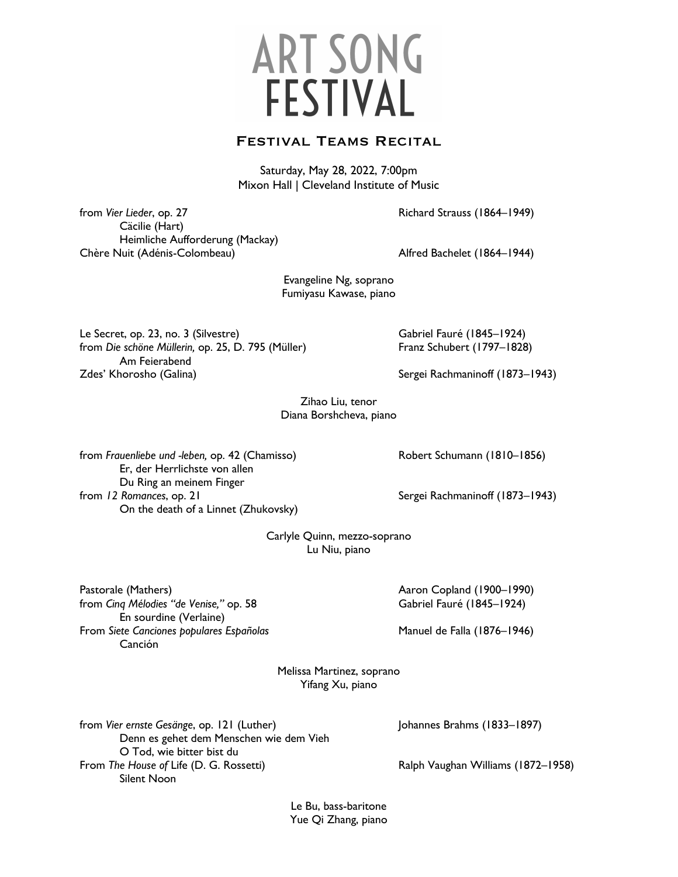## **ART SONG FESTIVAL**

## Festival Teams Recital

Saturday, May 28, 2022, 7:00pm Mixon Hall | Cleveland Institute of Music

from *Vier Lieder*, op. 27 Richard Strauss (1864–1949) Cäcilie (Hart) Heimliche Aufforderung (Mackay) Chère Nuit (Adénis-Colombeau) Alfred Bachelet (1864–1944)

Evangeline Ng, soprano Fumiyasu Kawase, piano

Le Secret, op. 23, no. 3 (Silvestre) Cabriel Fauré (1845–1924) from *Die schöne Müllerin,* op. 25, D. 795 (Müller) Franz Schubert (1797–1828) Am Feierabend Zdes' Khorosho (Galina) Sergei Rachmaninoff (1873–1943)

Zihao Liu, tenor Diana Borshcheva, piano

from *Frauenliebe und -leben,* op. 42 (Chamisso) Robert Schumann (1810–1856) Er, der Herrlichste von allen Du Ring an meinem Finger from 12 Romances, op. 21 Sergei Rachmaninoff (1873–1943) On the death of a Linnet (Zhukovsky)

Carlyle Quinn, mezzo-soprano Lu Niu, piano

Pastorale (Mathers) **Aaron Copland (1900–1990**) **Aaron Copland (1900–1990**) from *Cinq Mélodies "de Venise,"* op. 58 Gabriel Fauré (1845–1924) En sourdine (Verlaine) From Siete Canciones populares Españolas **Manuel de Falla** (1876–1946) Canción

Melissa Martinez, soprano Yifang Xu, piano

| from Vier ernste Gesänge, op. 121 (Luther) | Johannes Brahms (1833–1897)        |
|--------------------------------------------|------------------------------------|
| Denn es gehet dem Menschen wie dem Vieh    |                                    |
| O Tod, wie bitter bist du                  |                                    |
| From The House of Life (D. G. Rossetti)    | Ralph Vaughan Williams (1872-1958) |
| Silent Noon                                |                                    |

Le Bu, bass-baritone Yue Qi Zhang, piano